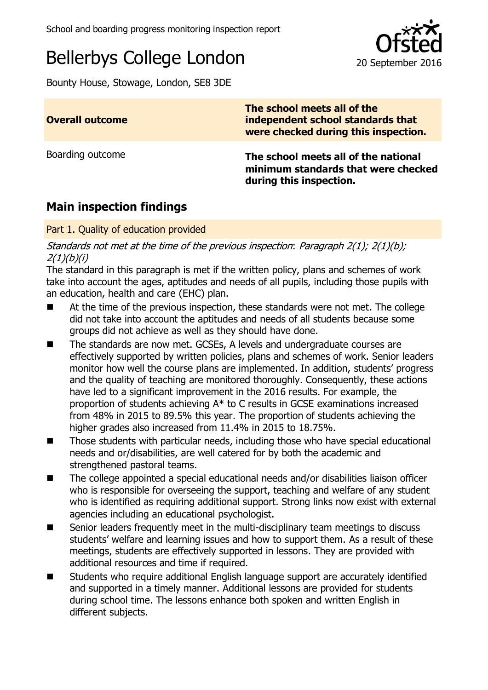# Bellerbys College London 20 September 2016

Bounty House, Stowage, London, SE8 3DE

| <b>Overall outcome</b>          | The school meets all of the<br>independent school standards that<br>were checked during this inspection. |
|---------------------------------|----------------------------------------------------------------------------------------------------------|
| Boarding outcome                | The school meets all of the national<br>minimum standards that were checked<br>during this inspection.   |
| <b>Main inspection findings</b> |                                                                                                          |

#### Part 1. Quality of education provided

Standards not met at the time of the previous inspection: Paragraph 2(1); 2(1)(b);  $2(1)(b)(i)$ 

The standard in this paragraph is met if the written policy, plans and schemes of work take into account the ages, aptitudes and needs of all pupils, including those pupils with an education, health and care (EHC) plan.

- At the time of the previous inspection, these standards were not met. The college did not take into account the aptitudes and needs of all students because some groups did not achieve as well as they should have done.
- The standards are now met. GCSEs, A levels and undergraduate courses are effectively supported by written policies, plans and schemes of work. Senior leaders monitor how well the course plans are implemented. In addition, students' progress and the quality of teaching are monitored thoroughly. Consequently, these actions have led to a significant improvement in the 2016 results. For example, the proportion of students achieving A\* to C results in GCSE examinations increased from 48% in 2015 to 89.5% this year. The proportion of students achieving the higher grades also increased from 11.4% in 2015 to 18.75%.
- Those students with particular needs, including those who have special educational needs and or/disabilities, are well catered for by both the academic and strengthened pastoral teams.
- The college appointed a special educational needs and/or disabilities liaison officer who is responsible for overseeing the support, teaching and welfare of any student who is identified as requiring additional support. Strong links now exist with external agencies including an educational psychologist.
- $\blacksquare$  Senior leaders frequently meet in the multi-disciplinary team meetings to discuss students' welfare and learning issues and how to support them. As a result of these meetings, students are effectively supported in lessons. They are provided with additional resources and time if required.
- Students who require additional English language support are accurately identified and supported in a timely manner. Additional lessons are provided for students during school time. The lessons enhance both spoken and written English in different subjects.

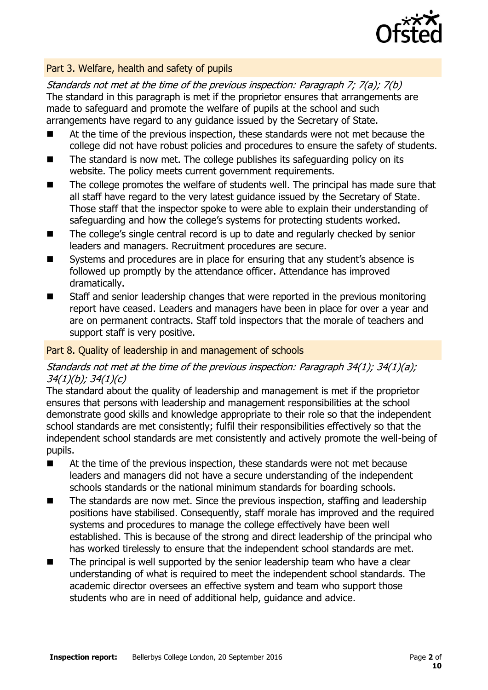

#### Part 3. Welfare, health and safety of pupils

Standards not met at the time of the previous inspection: Paragraph 7; 7(a); 7(b) The standard in this paragraph is met if the proprietor ensures that arrangements are made to safeguard and promote the welfare of pupils at the school and such arrangements have regard to any guidance issued by the Secretary of State.

- At the time of the previous inspection, these standards were not met because the college did not have robust policies and procedures to ensure the safety of students.
- $\blacksquare$  The standard is now met. The college publishes its safeguarding policy on its website. The policy meets current government requirements.
- The college promotes the welfare of students well. The principal has made sure that all staff have regard to the very latest guidance issued by the Secretary of State. Those staff that the inspector spoke to were able to explain their understanding of safeguarding and how the college's systems for protecting students worked.
- The college's single central record is up to date and regularly checked by senior leaders and managers. Recruitment procedures are secure.
- Systems and procedures are in place for ensuring that any student's absence is followed up promptly by the attendance officer. Attendance has improved dramatically.
- Staff and senior leadership changes that were reported in the previous monitoring report have ceased. Leaders and managers have been in place for over a year and are on permanent contracts. Staff told inspectors that the morale of teachers and support staff is very positive.

#### Part 8. Quality of leadership in and management of schools

#### Standards not met at the time of the previous inspection: Paragraph 34(1); 34(1)(a); 34(1)(b); 34(1)(c)

The standard about the quality of leadership and management is met if the proprietor ensures that persons with leadership and management responsibilities at the school demonstrate good skills and knowledge appropriate to their role so that the independent school standards are met consistently; fulfil their responsibilities effectively so that the independent school standards are met consistently and actively promote the well-being of pupils.

- At the time of the previous inspection, these standards were not met because leaders and managers did not have a secure understanding of the independent schools standards or the national minimum standards for boarding schools.
- The standards are now met. Since the previous inspection, staffing and leadership positions have stabilised. Consequently, staff morale has improved and the required systems and procedures to manage the college effectively have been well established. This is because of the strong and direct leadership of the principal who has worked tirelessly to ensure that the independent school standards are met.
- The principal is well supported by the senior leadership team who have a clear understanding of what is required to meet the independent school standards. The academic director oversees an effective system and team who support those students who are in need of additional help, guidance and advice.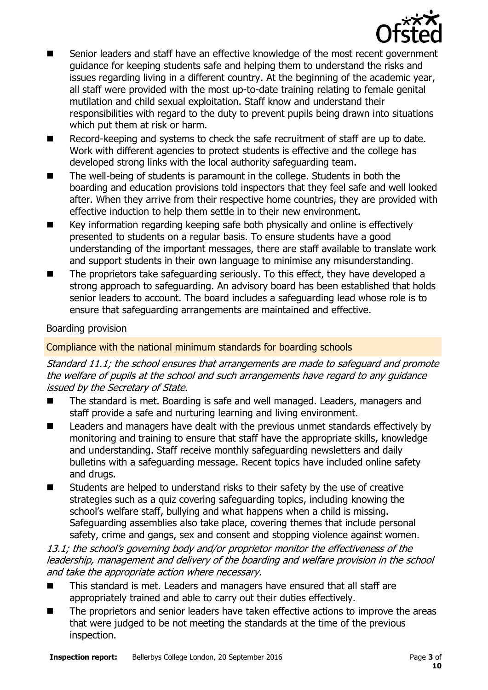

- Senior leaders and staff have an effective knowledge of the most recent government guidance for keeping students safe and helping them to understand the risks and issues regarding living in a different country. At the beginning of the academic year, all staff were provided with the most up-to-date training relating to female genital mutilation and child sexual exploitation. Staff know and understand their responsibilities with regard to the duty to prevent pupils being drawn into situations which put them at risk or harm.
- Record-keeping and systems to check the safe recruitment of staff are up to date. Work with different agencies to protect students is effective and the college has developed strong links with the local authority safeguarding team.
- The well-being of students is paramount in the college. Students in both the boarding and education provisions told inspectors that they feel safe and well looked after. When they arrive from their respective home countries, they are provided with effective induction to help them settle in to their new environment.
- Key information regarding keeping safe both physically and online is effectively presented to students on a regular basis. To ensure students have a good understanding of the important messages, there are staff available to translate work and support students in their own language to minimise any misunderstanding.
- The proprietors take safeguarding seriously. To this effect, they have developed a strong approach to safeguarding. An advisory board has been established that holds senior leaders to account. The board includes a safeguarding lead whose role is to ensure that safeguarding arrangements are maintained and effective.

#### Boarding provision

#### Compliance with the national minimum standards for boarding schools

Standard 11.1; the school ensures that arrangements are made to safeguard and promote the welfare of pupils at the school and such arrangements have regard to any guidance issued by the Secretary of State.

- The standard is met. Boarding is safe and well managed. Leaders, managers and staff provide a safe and nurturing learning and living environment.
- Leaders and managers have dealt with the previous unmet standards effectively by monitoring and training to ensure that staff have the appropriate skills, knowledge and understanding. Staff receive monthly safeguarding newsletters and daily bulletins with a safeguarding message. Recent topics have included online safety and drugs.
- $\blacksquare$  Students are helped to understand risks to their safety by the use of creative strategies such as a quiz covering safeguarding topics, including knowing the school's welfare staff, bullying and what happens when a child is missing. Safeguarding assemblies also take place, covering themes that include personal safety, crime and gangs, sex and consent and stopping violence against women.

13.1; the school's governing body and/or proprietor monitor the effectiveness of the leadership, management and delivery of the boarding and welfare provision in the school and take the appropriate action where necessary.

- This standard is met. Leaders and managers have ensured that all staff are appropriately trained and able to carry out their duties effectively.
- The proprietors and senior leaders have taken effective actions to improve the areas that were judged to be not meeting the standards at the time of the previous inspection.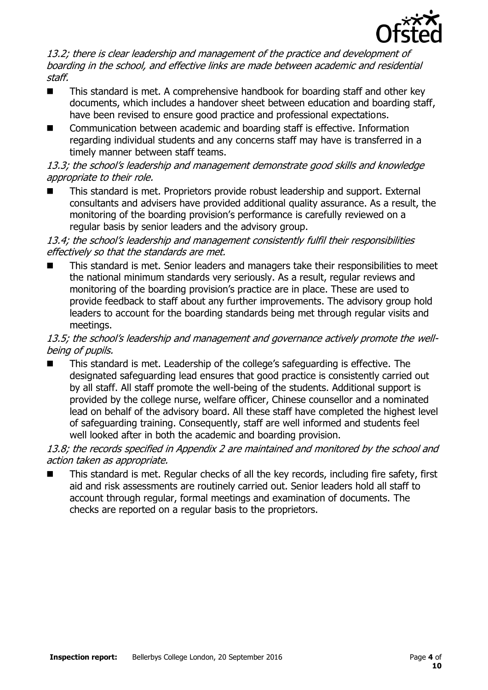

13.2; there is clear leadership and management of the practice and development of boarding in the school, and effective links are made between academic and residential staff.

- This standard is met. A comprehensive handbook for boarding staff and other key documents, which includes a handover sheet between education and boarding staff, have been revised to ensure good practice and professional expectations.
- Communication between academic and boarding staff is effective. Information regarding individual students and any concerns staff may have is transferred in a timely manner between staff teams.

### 13.3; the school's leadership and management demonstrate good skills and knowledge appropriate to their role.

 This standard is met. Proprietors provide robust leadership and support. External consultants and advisers have provided additional quality assurance. As a result, the monitoring of the boarding provision's performance is carefully reviewed on a regular basis by senior leaders and the advisory group.

#### 13.4; the school's leadership and management consistently fulfil their responsibilities effectively so that the standards are met.

 This standard is met. Senior leaders and managers take their responsibilities to meet the national minimum standards very seriously. As a result, regular reviews and monitoring of the boarding provision's practice are in place. These are used to provide feedback to staff about any further improvements. The advisory group hold leaders to account for the boarding standards being met through regular visits and meetings.

#### 13.5; the school's leadership and management and governance actively promote the wellbeing of pupils.

 This standard is met. Leadership of the college's safeguarding is effective. The designated safeguarding lead ensures that good practice is consistently carried out by all staff. All staff promote the well-being of the students. Additional support is provided by the college nurse, welfare officer, Chinese counsellor and a nominated lead on behalf of the advisory board. All these staff have completed the highest level of safeguarding training. Consequently, staff are well informed and students feel well looked after in both the academic and boarding provision.

#### 13.8; the records specified in Appendix 2 are maintained and monitored by the school and action taken as appropriate.

 This standard is met. Regular checks of all the key records, including fire safety, first aid and risk assessments are routinely carried out. Senior leaders hold all staff to account through regular, formal meetings and examination of documents. The checks are reported on a regular basis to the proprietors.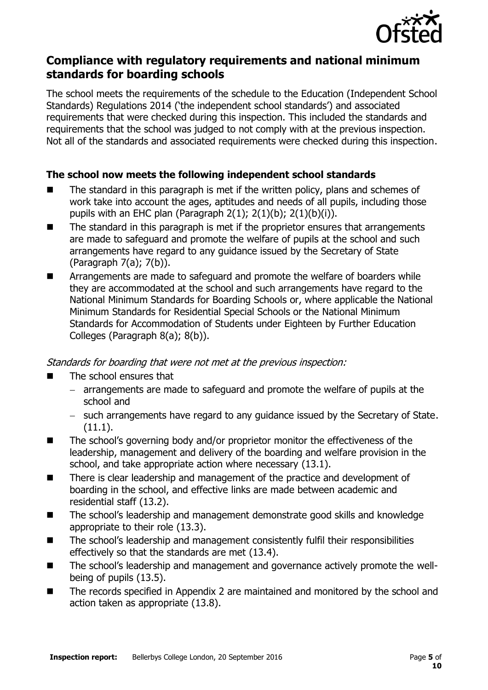

## **Compliance with regulatory requirements and national minimum standards for boarding schools**

The school meets the requirements of the schedule to the Education (Independent School Standards) Regulations 2014 ('the independent school standards') and associated requirements that were checked during this inspection. This included the standards and requirements that the school was judged to not comply with at the previous inspection. Not all of the standards and associated requirements were checked during this inspection.

### **The school now meets the following independent school standards**

- $\blacksquare$  The standard in this paragraph is met if the written policy, plans and schemes of work take into account the ages, aptitudes and needs of all pupils, including those pupils with an EHC plan (Paragraph  $2(1)$ ;  $2(1)(b)$ ;  $2(1)(b)(i)$ ).
- The standard in this paragraph is met if the proprietor ensures that arrangements are made to safeguard and promote the welfare of pupils at the school and such arrangements have regard to any guidance issued by the Secretary of State (Paragraph 7(a); 7(b)).
- **EXTERGHM** Arrangements are made to safeguard and promote the welfare of boarders while they are accommodated at the school and such arrangements have regard to the National Minimum Standards for Boarding Schools or, where applicable the National Minimum Standards for Residential Special Schools or the National Minimum Standards for Accommodation of Students under Eighteen by Further Education Colleges (Paragraph 8(a); 8(b)).

Standards for boarding that were not met at the previous inspection:

- The school ensures that
	- arrangements are made to safeguard and promote the welfare of pupils at the school and
	- such arrangements have regard to any guidance issued by the Secretary of State. (11.1).
- The school's governing body and/or proprietor monitor the effectiveness of the leadership, management and delivery of the boarding and welfare provision in the school, and take appropriate action where necessary (13.1).
- There is clear leadership and management of the practice and development of boarding in the school, and effective links are made between academic and residential staff (13.2).
- The school's leadership and management demonstrate good skills and knowledge appropriate to their role (13.3).
- The school's leadership and management consistently fulfil their responsibilities effectively so that the standards are met (13.4).
- The school's leadership and management and governance actively promote the wellbeing of pupils (13.5).
- The records specified in Appendix 2 are maintained and monitored by the school and action taken as appropriate (13.8).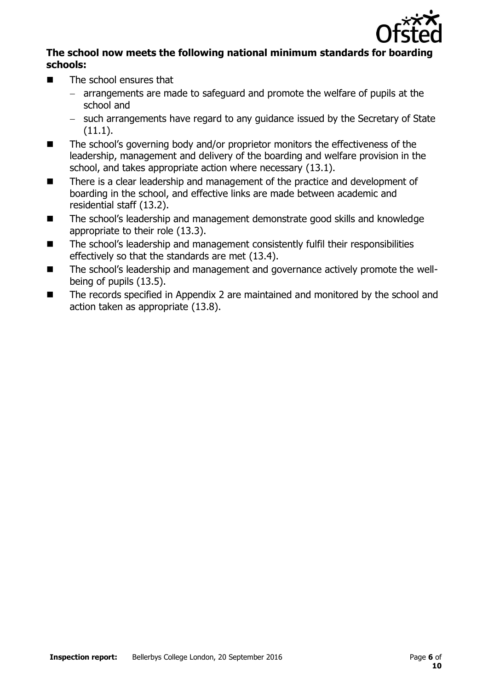

#### **The school now meets the following national minimum standards for boarding schools:**

- $\blacksquare$  The school ensures that
	- arrangements are made to safeguard and promote the welfare of pupils at the school and
	- such arrangements have regard to any guidance issued by the Secretary of State (11.1).
- The school's governing body and/or proprietor monitors the effectiveness of the leadership, management and delivery of the boarding and welfare provision in the school, and takes appropriate action where necessary (13.1).
- There is a clear leadership and management of the practice and development of boarding in the school, and effective links are made between academic and residential staff (13.2).
- The school's leadership and management demonstrate good skills and knowledge appropriate to their role (13.3).
- The school's leadership and management consistently fulfil their responsibilities effectively so that the standards are met (13.4).
- The school's leadership and management and governance actively promote the wellbeing of pupils (13.5).
- The records specified in Appendix 2 are maintained and monitored by the school and action taken as appropriate (13.8).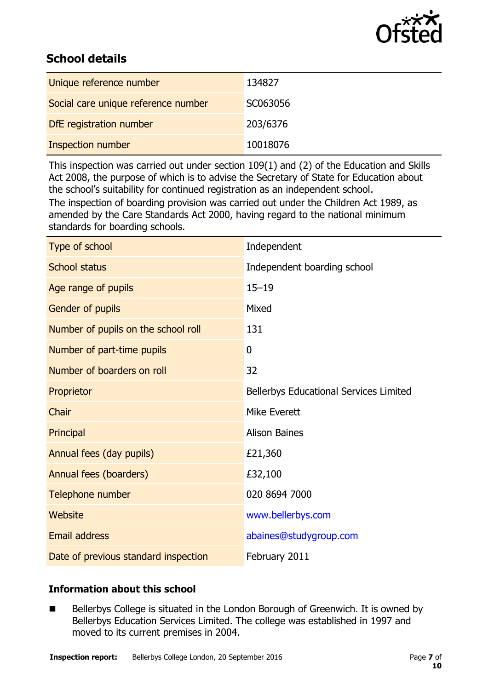

# **School details**

| Unique reference number             | 134827   |
|-------------------------------------|----------|
| Social care unique reference number | SC063056 |
| DfE registration number             | 203/6376 |
| Inspection number                   | 10018076 |

This inspection was carried out under section 109(1) and (2) of the Education and Skills Act 2008, the purpose of which is to advise the Secretary of State for Education about the school's suitability for continued registration as an independent school.

The inspection of boarding provision was carried out under the Children Act 1989, as amended by the Care Standards Act 2000, having regard to the national minimum standards for boarding schools.

| Type of school                       | Independent                                   |
|--------------------------------------|-----------------------------------------------|
| <b>School status</b>                 | Independent boarding school                   |
| Age range of pupils                  | $15 - 19$                                     |
| Gender of pupils                     | Mixed                                         |
| Number of pupils on the school roll  | 131                                           |
| Number of part-time pupils           | $\boldsymbol{0}$                              |
| Number of boarders on roll           | 32                                            |
| Proprietor                           | <b>Bellerbys Educational Services Limited</b> |
| Chair                                | Mike Everett                                  |
| Principal                            | <b>Alison Baines</b>                          |
| Annual fees (day pupils)             | £21,360                                       |
| Annual fees (boarders)               | £32,100                                       |
| Telephone number                     | 020 8694 7000                                 |
| Website                              | www.bellerbys.com                             |
| <b>Email address</b>                 | abaines@studygroup.com                        |
| Date of previous standard inspection | February 2011                                 |

### **Information about this school**

■ Bellerbys College is situated in the London Borough of Greenwich. It is owned by Bellerbys Education Services Limited. The college was established in 1997 and moved to its current premises in 2004.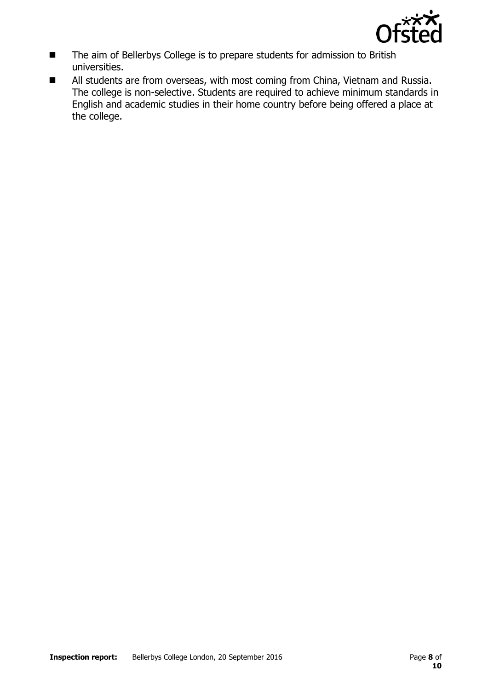

- The aim of Bellerbys College is to prepare students for admission to British universities.
- All students are from overseas, with most coming from China, Vietnam and Russia. The college is non-selective. Students are required to achieve minimum standards in English and academic studies in their home country before being offered a place at the college.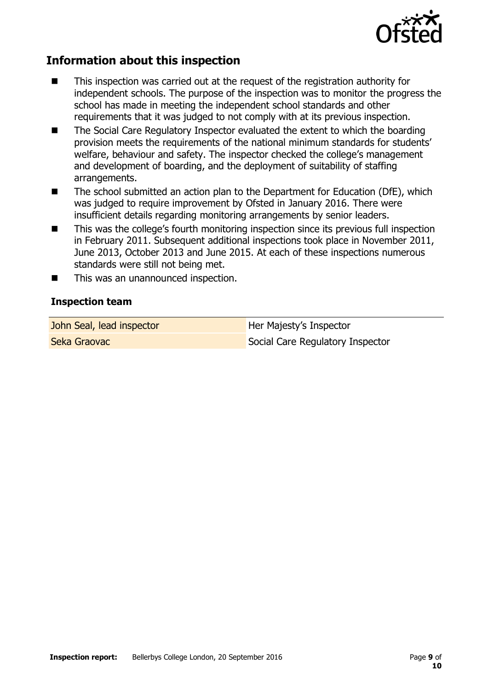

# **Information about this inspection**

- This inspection was carried out at the request of the registration authority for independent schools. The purpose of the inspection was to monitor the progress the school has made in meeting the independent school standards and other requirements that it was judged to not comply with at its previous inspection.
- The Social Care Regulatory Inspector evaluated the extent to which the boarding provision meets the requirements of the national minimum standards for students' welfare, behaviour and safety. The inspector checked the college's management and development of boarding, and the deployment of suitability of staffing arrangements.
- The school submitted an action plan to the Department for Education (DfE), which was judged to require improvement by Ofsted in January 2016. There were insufficient details regarding monitoring arrangements by senior leaders.
- This was the college's fourth monitoring inspection since its previous full inspection in February 2011. Subsequent additional inspections took place in November 2011, June 2013, October 2013 and June 2015. At each of these inspections numerous standards were still not being met.
- This was an unannounced inspection.

#### **Inspection team**

John Seal, lead inspector **Her Majesty's Inspector** Seka Graovac Social Care Regulatory Inspector